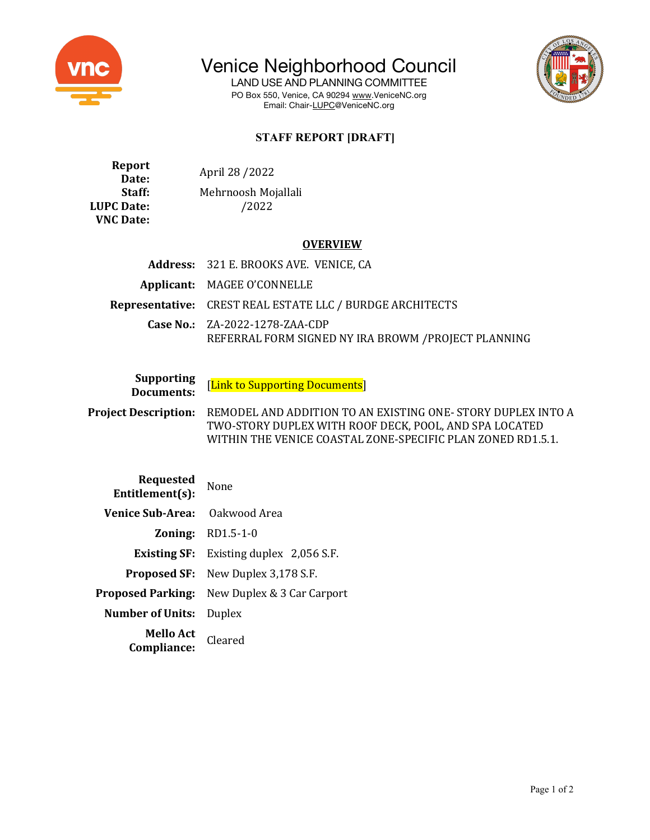

Venice Neighborhood Council

LAND USE AND PLANNING COMMITTEE PO Box 550, Venice, CA 90294 www.VeniceNC.org Email: Chair-LUPC@VeniceNC.org



## **STAFF REPORT [DRAFT]**

**Report Port**<br>Date: Mandre April 28 / 2022 Staff: Mehrnoosh Mojallali **LUPC Date:**  $/2022$ **VNC Date:**

## **OVERVIEW**

| Address: 321 E. BROOKS AVE. VENICE, CA                                                 |
|----------------------------------------------------------------------------------------|
| Applicant: MAGEE O'CONNELLE                                                            |
| <b>Representative:</b> CREST REAL ESTATE LLC / BURDGE ARCHITECTS                       |
| Case No.: ZA-2022-1278-ZAA-CDP<br>REFERRAL FORM SIGNED NY IRA BROWM / PROJECT PLANNING |

**Supporting**<br>**Documents:** 

[Link to Supporting Documents]

**Project Description:** REMODEL AND ADDITION TO AN EXISTING ONE- STORY DUPLEX INTO A TWO-STORY DUPLEX WITH ROOF DECK, POOL, AND SPA LOCATED WITHIN THE VENICE COASTAL ZONE-SPECIFIC PLAN ZONED RD1.5.1.

| Requested<br>Entitlement(s): | None                                           |
|------------------------------|------------------------------------------------|
| <b>Venice Sub-Area:</b>      | Oakwood Area                                   |
| Zoning:                      | RD1.5-1-0                                      |
|                              | <b>Existing SF:</b> Existing duplex 2,056 S.F. |
|                              | <b>Proposed SF:</b> New Duplex 3,178 S.F.      |
| <b>Proposed Parking:</b>     | New Duplex & 3 Car Carport                     |
| <b>Number of Units:</b>      | Duplex                                         |
| Mello Act<br>Compliance:     | Cleared                                        |